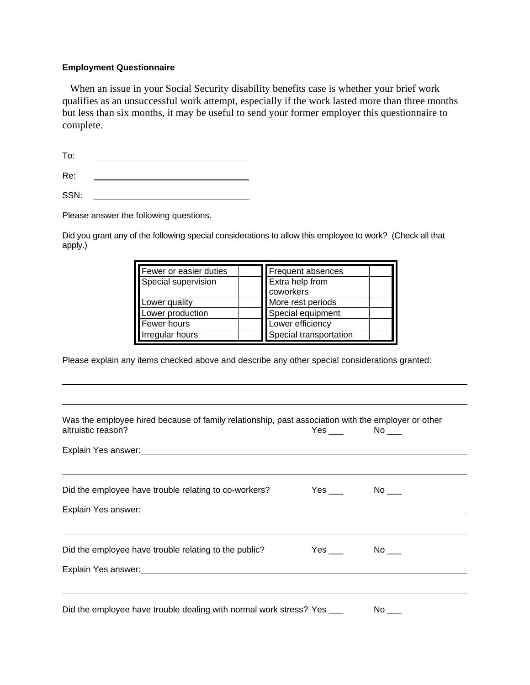## **Employment Questionnaire**

 When an issue in your Social Security disability benefits case is whether your brief work qualifies as an unsuccessful work attempt, especially if the work lasted more than three months but less than six months, it may be useful to send your former employer this questionnaire to complete.

To: <u> 1980 - Johann Barbara, martxa alemaniar a</u>

Re: <u> 1989 - Johann Barbara, martin a</u>

SSN:

Please answer the following questions.

Did you grant any of the following special considerations to allow this employee to work? (Check all that apply.)

| Fewer or easier duties | <b>Frequent absences</b> |
|------------------------|--------------------------|
| Special supervision    | Extra help from          |
|                        | coworkers                |
| Lower quality          | More rest periods        |
| Lower production       | Special equipment        |
| Fewer hours            | Lower efficiency         |
| Irregular hours        | Special transportation   |

Please explain any items checked above and describe any other special considerations granted:

| Was the employee hired because of family relationship, past association with the employer or other<br>altruistic reason? | $Yes \_\_\_$ No $\_\_\_$  |
|--------------------------------------------------------------------------------------------------------------------------|---------------------------|
| Explain Yes answer: 1990 March 2010 March 2010 March 2010 March 2010 March 2010 March 2010                               |                           |
| Did the employee have trouble relating to co-workers?                                                                    | $Yes \_\_\_$ No $\_\_\_$  |
| Explain Yes answer: Management of the state of the state of the state of the state of the state of the state of          |                           |
| Did the employee have trouble relating to the public?                                                                    | $Yes \_\_\_$ No $\_\_\_\$ |
|                                                                                                                          |                           |
| Did the employee have trouble dealing with normal work stress? Yes ___                                                   |                           |